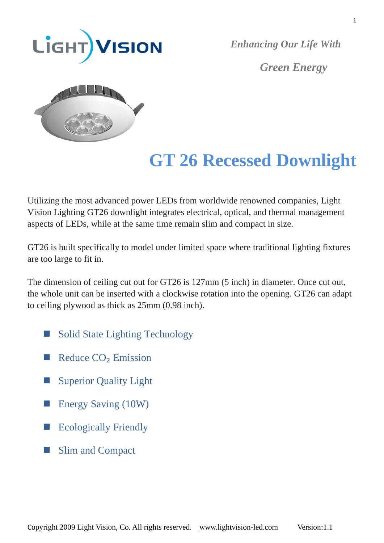

*Green Energy*



# **GT 26 Recessed Downlight**

Utilizing the most advanced power LEDs from worldwide renowned companies, Light Vision Lighting GT26 downlight integrates electrical, optical, and thermal management aspects of LEDs, while at the same time remain slim and compact in size.

GT26 is built specifically to model under limited space where traditional lighting fixtures are too large to fit in.

The dimension of ceiling cut out for GT26 is 127mm (5 inch) in diameter. Once cut out, the whole unit can be inserted with a clockwise rotation into the opening. GT26 can adapt to ceiling plywood as thick as 25mm (0.98 inch).

- Solid State Lighting Technology
- Reduce  $CO<sub>2</sub>$  Emission
- Superior Quality Light
- **Energy Saving (10W)**
- Ecologically Friendly
- Slim and Compact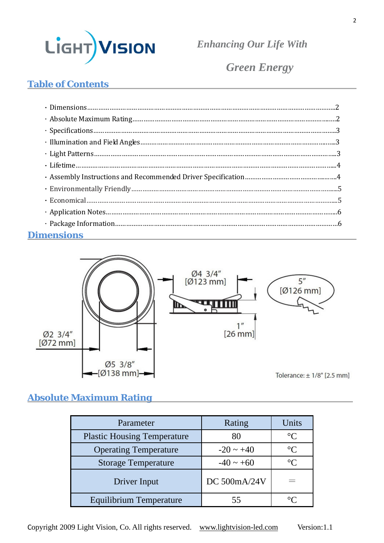

*Green Energy*

# **Table of Contents**

| <b>Dimensions</b><br><u> 1980 - Andrea Station Barbara, actor a component de la componentación de la componentación de la componentaci</u> |  |
|--------------------------------------------------------------------------------------------------------------------------------------------|--|



### **Absolute Maximum Rating**

| Parameter                          | Rating         | Units             |
|------------------------------------|----------------|-------------------|
| <b>Plastic Housing Temperature</b> | 80             | $^{\circ}C$       |
| <b>Operating Temperature</b>       | $-20 \sim +40$ | $\rm ^{\circ}C$   |
| <b>Storage Temperature</b>         | $-40 \sim +60$ | $\circ$ C         |
| Driver Input                       | DC 500mA/24V   |                   |
| Equilibrium Temperature            |                | $\circ$ ( $\cdot$ |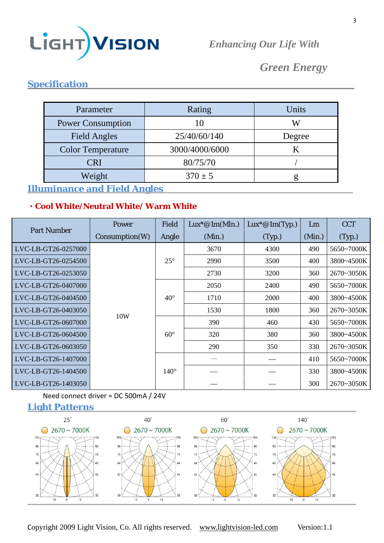

# *Green Energy*

# **Specification**

| Parameter                | Rating         | Units  |
|--------------------------|----------------|--------|
| <b>Power Consumption</b> |                | W      |
| <b>Field Angles</b>      | 25/40/60/140   | Degree |
| <b>Color Temperature</b> | 3000/4000/6000 |        |
| CRI                      | 80/75/70       |        |
| Weight                   | $370 \pm 5$    |        |

#### **Illuminance and Field Angles**

#### **﹡Cool White/Neutral White/ Warm White**

| <b>Part Number</b>  | <b>Power</b>   | Field        | $Lux^*@1m(Mln.)$ | $Lux^*@1m(Typ.)$ | Lm     | <b>CCT</b> |            |
|---------------------|----------------|--------------|------------------|------------------|--------|------------|------------|
|                     | Consumption(W) | Angle        | (Min.)           | (Typ.)           | (Min.) | (Typ.)     |            |
| LVC-LB-GT26-0257000 |                |              | 3670             | 4300             | 490    | 5650~7000K |            |
| LVC-LB-GT26-0254500 |                | $25^{\circ}$ | 2990             | 3500             | 400    | 3800~4500K |            |
| LVC-LB-GT26-0253050 | 10W            |              | 2730             | 3200             | 360    | 2670~3050K |            |
| LVC-LB-GT26-0407000 |                |              | 2050             | 2400             | 490    | 5650~7000K |            |
| LVC-LB-GT26-0404500 |                | $40^{\circ}$ | 1710             | 2000             | 400    | 3800~4500K |            |
| LVC-LB-GT26-0403050 |                |              | 1530             | 1800             | 360    | 2670~3050K |            |
| LVC-LB-GT26-0607000 |                |              |                  | 390              | 460    | 430        | 5650~7000K |
| LVC-LB-GT26-0604500 |                | $60^\circ$   | 320              | 380              | 360    | 3800~4500K |            |
| LVC-LB-GT26-0603050 |                |              | 290              | 350              | 330    | 2670~3050K |            |
| LVC-LB-GT26-1407000 |                |              |                  |                  | 410    | 5650~7000K |            |
| LVC-LB-GT26-1404500 |                | $140^\circ$  |                  |                  | 330    | 3800~4500K |            |
| LVC-LB-GT26-1403050 |                |              |                  |                  | 300    | 2670~3050K |            |

#### Need connect driver = DC 500mA / 24V





Copyright 2009 Light Vision, Co. All rights reserved. www.lightvision-led.com Version:1.1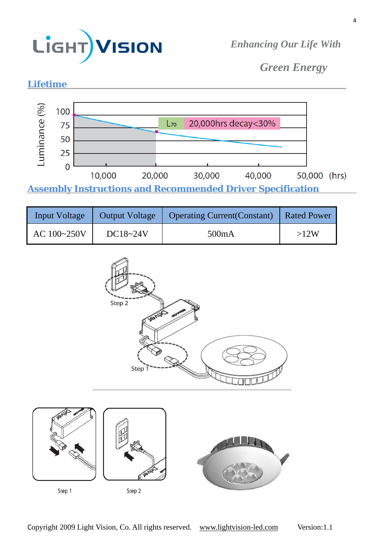

*Green Energy* 



**Assembly Instructions and Recommended Driver Specification** 

| <b>Input Voltage</b> | Output Voltage | Operating Current (Constant) | Rated Power |
|----------------------|----------------|------------------------------|-------------|
| AC 100~250V          | $DC18 - 24V$   | 500mA                        | >12W        |

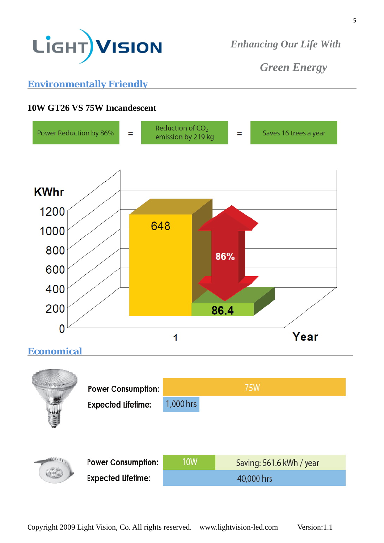

*Green Energy* 

# **Environmentally Friendly**

# **10W GT26 VS 75W Incandescent**